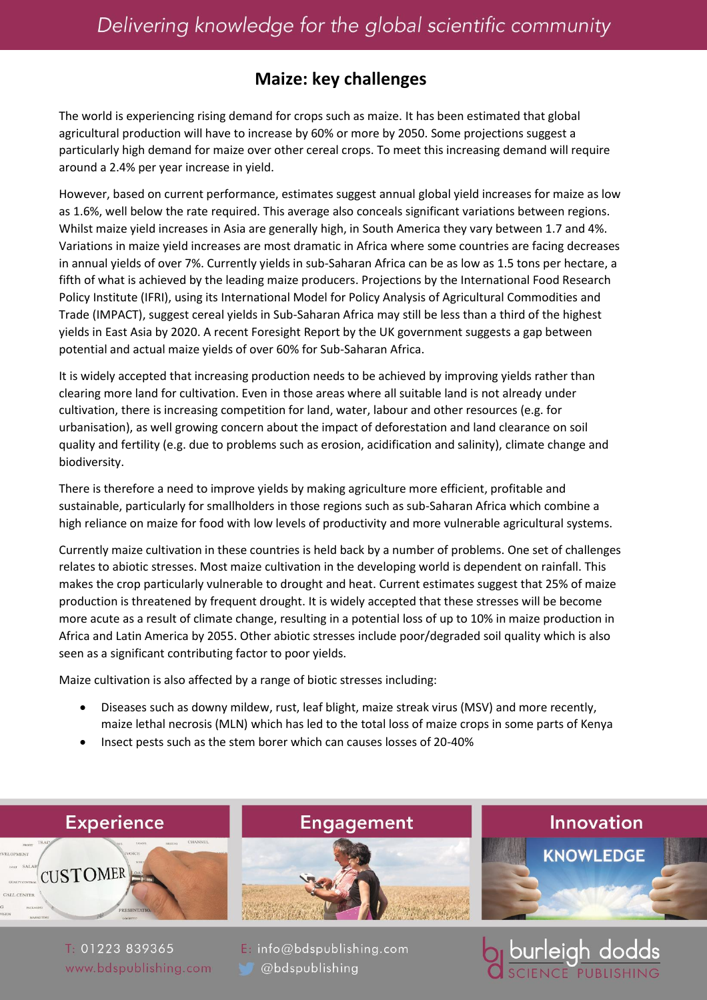## **Maize: key challenges**

The world is experiencing rising demand for crops such as maize. It has been estimated that global agricultural production will have to increase by 60% or more by 2050. Some projections suggest a particularly high demand for maize over other cereal crops. To meet this increasing demand will require around a 2.4% per year increase in yield.

However, based on current performance, estimates suggest annual global yield increases for maize as low as 1.6%, well below the rate required. This average also conceals significant variations between regions. Whilst maize yield increases in Asia are generally high, in South America they vary between 1.7 and 4%. Variations in maize yield increases are most dramatic in Africa where some countries are facing decreases in annual yields of over 7%. Currently yields in sub-Saharan Africa can be as low as 1.5 tons per hectare, a fifth of what is achieved by the leading maize producers. Projections by the International Food Research Policy Institute (IFRI), using its International Model for Policy Analysis of Agricultural Commodities and Trade (IMPACT), suggest cereal yields in Sub-Saharan Africa may still be less than a third of the highest yields in East Asia by 2020. A recent Foresight Report by the UK government suggests a gap between potential and actual maize yields of over 60% for Sub-Saharan Africa.

It is widely accepted that increasing production needs to be achieved by improving yields rather than clearing more land for cultivation. Even in those areas where all suitable land is not already under cultivation, there is increasing competition for land, water, labour and other resources (e.g. for urbanisation), as well growing concern about the impact of deforestation and land clearance on soil quality and fertility (e.g. due to problems such as erosion, acidification and salinity), climate change and biodiversity.

There is therefore a need to improve yields by making agriculture more efficient, profitable and sustainable, particularly for smallholders in those regions such as sub-Saharan Africa which combine a high reliance on maize for food with low levels of productivity and more vulnerable agricultural systems.

Currently maize cultivation in these countries is held back by a number of problems. One set of challenges relates to abiotic stresses. Most maize cultivation in the developing world is dependent on rainfall. This makes the crop particularly vulnerable to drought and heat. Current estimates suggest that 25% of maize production is threatened by frequent drought. It is widely accepted that these stresses will be become more acute as a result of climate change, resulting in a potential loss of up to 10% in maize production in Africa and Latin America by 2055. Other abiotic stresses include poor/degraded soil quality which is also seen as a significant contributing factor to poor yields.

Maize cultivation is also affected by a range of biotic stresses including:

- Diseases such as downy mildew, rust, leaf blight, maize streak virus (MSV) and more recently, maize lethal necrosis (MLN) which has led to the total loss of maize crops in some parts of Kenya
- Insect pests such as the stem borer which can causes losses of 20-40%